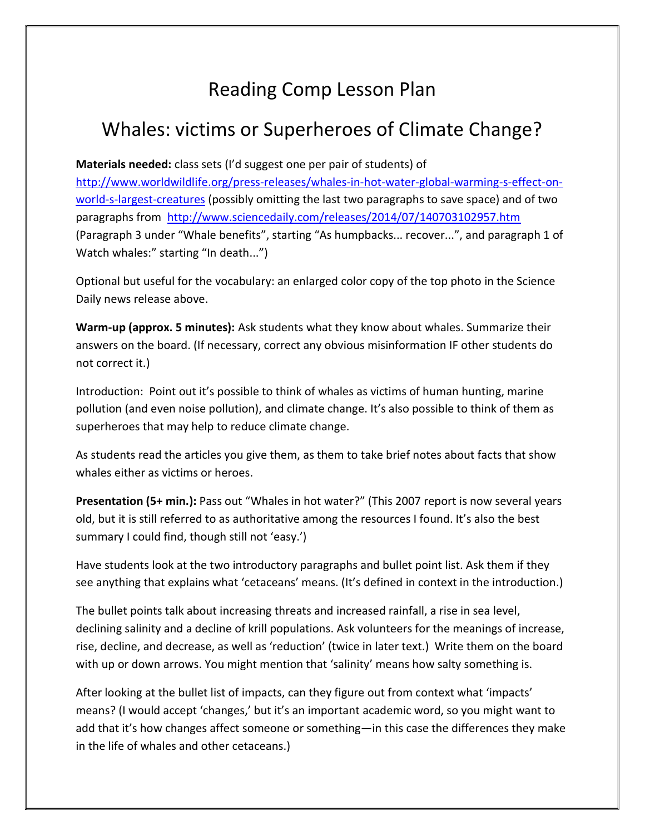## Reading Comp Lesson Plan

## Whales: victims or Superheroes of Climate Change?

Materials needed: class sets (I'd suggest one per pair of students) of [h](http://www.worldwildlife.org/press-releases/whales-in-hot-water-global-warming-s-effect-on-world-s-largest-creatures)ttp://www.worldwildlife.org/press-releases/whales-in-hot-water-global-warming-s-effect-onworld-s-largest-creatures (possibly omitting the last two paragraphs to save space) and of two paragraphs from [h](http://www.sciencedaily.com/releases/2014/07/140703102957.htm)ttp://www.sciencedaily.com/releases/2014/07/140703102957.htm (Paragraph 3 under "Whale benefits", starting "As humpbacks... recover...", and paragraph 1 of Watch whales:" starting "In death...")

Optional but useful for the vocabulary: an enlarged color copy of the top photo in the Science Daily news release above.

**Warm-up (approx. 5 minutes):** Ask students what they know about whales. Summarize their answers on the board. (If necessary, correct any obvious misinformation IF other students do not correct it.)

Introduction: Point out it's possible to think of whales as victims of human hunting, marine pollution (and even noise pollution), and climate change. It's also possible to think of them as superheroes that may help to reduce climate change.

As students read the articles you give them, as them to take brief notes about facts that show whales either as victims or heroes.

Presentation (5+ min.): Pass out "Whales in hot water?" (This 2007 report is now several years old, but it is still referred to as authoritative among the resources I found. It's also the best summary I could find, though still not 'easy.')

Have students look at the two introductory paragraphs and bullet point list. Ask them if they see anything that explains what 'cetaceans' means. (It's defined in context in the introduction.)

The bullet points talk about increasing threats and increased rainfall, a rise in sea level, declining salinity and a decline of krill populations. Ask volunteers for the meanings of increase, rise, decline, and decrease, as well as 'reduction' (twice in later text.) Write them on the board with up or down arrows. You might mention that 'salinity' means how salty something is.

After looking at the bullet list of impacts, can they figure out from context what 'impacts' means? (I would accept 'changes,' but it's an important academic word, so you might want to add that it's how changes affect someone or something—in this case the differences they make in the life of whales and other cetaceans.)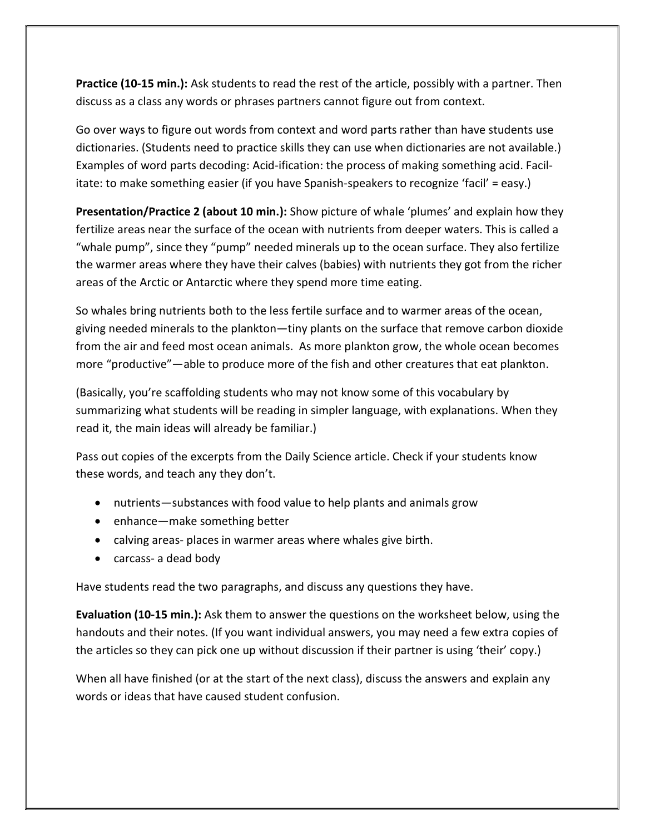**Practice (10-15 min.):** Ask students to read the rest of the article, possibly with a partner. Then discuss as a class any words or phrases partners cannot figure out from context.

Go over ways to figure out words from context and word parts rather than have students use dictionaries. (Students need to practice skills they can use when dictionaries are not available.) Examples of word parts decoding: Acid-ification: the process of making something acid. Facilitate: to make something easier (if you have Spanish-speakers to recognize 'facil' = easy.)

**Presentation/Practice 2 (about 10 min.):** Show picture of whale 'plumes' and explain how they fertilize areas near the surface of the ocean with nutrients from deeper waters. This is called a "whale pump", since they "pump" needed minerals up to the ocean surface. They also fertilize the warmer areas where they have their calves (babies) with nutrients they got from the richer areas of the Arctic or Antarctic where they spend more time eating.

So whales bring nutrients both to the less fertile surface and to warmer areas of the ocean, giving needed minerals to the plankton—tiny plants on the surface that remove carbon dioxide from the air and feed most ocean animals. As more plankton grow, the whole ocean becomes more "productive"—able to produce more of the fish and other creatures that eat plankton.

(Basically, you're scaffolding students who may not know some of this vocabulary by summarizing what students will be reading in simpler language, with explanations. When they read it, the main ideas will already be familiar.)

Pass out copies of the excerpts from the Daily Science article. Check if your students know these words, and teach any they don't.

- nutrients—substances with food value to help plants and animals grow
- $\bullet$  enhance make something better
- calving areas- places in warmer areas where whales give birth.
- carcass- a dead body

Have students read the two paragraphs, and discuss any questions they have.

**Evaluation (10-15 min.):** Ask them to answer the questions on the worksheet below, using the handouts and their notes. (If you want individual answers, you may need a few extra copies of the articles so they can pick one up without discussion if their partner is using 'their' copy.)

When all have finished (or at the start of the next class), discuss the answers and explain any words or ideas that have caused student confusion.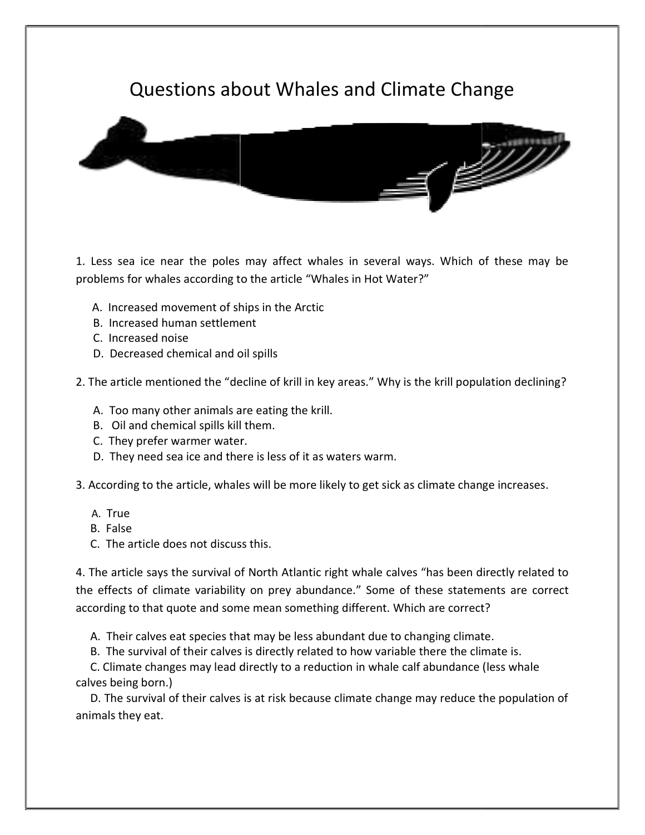## Questions about Whales and Climate Change



1. Less sea ice near the poles may affect whales in several ways. Which of these may be problems for whales according to the article "Whales in Hot Water?" problems for whales according to the article Whales in Hot Water?

- A. Increased movement of ships in the Arctic
- B. Increased human settlement
- C. Increased noise
- D. Decreased chemical and oil spills

B. Increased human settlement<br>
C. Increased noise<br>
D. Decreased chemical and oil spills<br>
2. The article mentioned the "decline of krill in key areas." Why is the krill population declining?

- A. Too many other animals are eating the krill.
- B. Oil and chemical spills kill them.
	- C. They prefer warmer water.
	- D. They need sea ice and there is less of it as waters warm.
- 3. According to the article, whales will be more likely to get sick as climate change increases.
	- A. True
	- B. False
	- C. The article does not discuss this.

4. The article says the survival of North Atlantic right whale calves "has been directly related to the effects of climate variability on prey abundance." Some of these statements are y prefer warmer water.<br>The rest of it as waters warm.<br>The and the article, whales will be more likely to get sick as clection<br>of calves not discuss this.<br>The says the survival of North Atlantic right whale calves " cline of krill in key areas." Why is the krill population declining?<br>
re eating the krill.<br>
them.<br>
.<br>
.<br>
s will be more likely to get sick as climate change increases.<br>
s will be more likely to get sick as climate change i

according to that quote and some mean something different. Which are correct?<br>A. Their calves eat species that may be less abundant due to changing climate. A. Their calves eat species that may be less abundant due to changing climate.

A. Their calves eat species that may be less abundant due to changing climate.<br>B. The survival of their calves is directly related to how variable there the climate is.

C. Climate changes may lead directly to a reduction in whale calf abundance (less whale calves being born.)

D. The survival of their calves is at risk because climate change may reduce the population of animals they eat.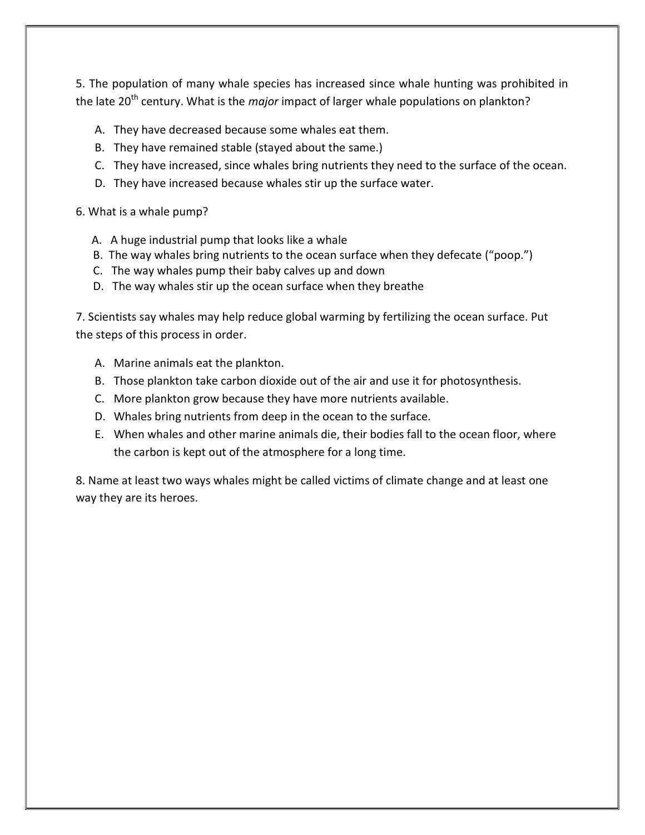5. The population of many whale species has increased since whale hunting was prohibited in the late 20<sup>th</sup> century. What is the *major* impact of larger whale populations on plankton?

- A. They have decreased because some whales eat them.
- B. They have remained stable (stayed about the same.)
- C. They have increased, since whales bring nutrients they need to the surface of the ocean.
- D. They have increased because whales stir up the surface water.

6. What is a whale pump?

- A. A huge industrial pump that looks like a whale
- B. The way whales bring nutrients to the ocean surface when they defecate ("poop.")
	- C. The way whales pump their baby calves up and down
	- D. The way whales stir up the ocean surface when they breathe

7. Scientists say whales may help reduce global warming by fertilizing the ocean surface. Put the steps of this process in order.

- A. Marine animals eat the plankton.
- B. Those plankton take carbon dioxide out of the air and use it for photosynthesis.
- C. More plankton grow because they have more nutrients available.
- D. Whales bring nutrients from deep in the ocean to the surface.
- E. When whales and other marine animals die, their bodies fall to the ocean floor, where the carbon is kept out of the atmosphere for a long time.

8. Name at least two ways whales might be called victims of climate change and at least one way they are its heroes.